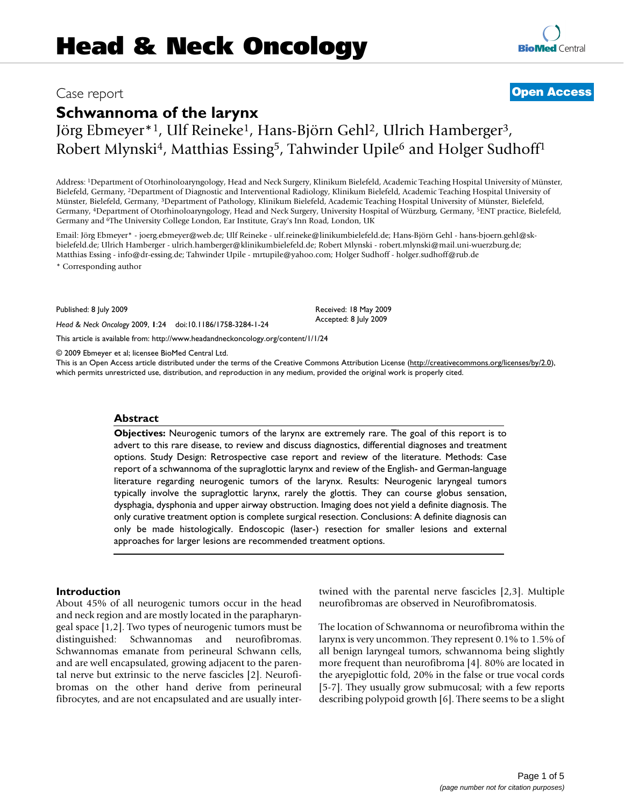**[BioMed](http://www.biomedcentral.com/)** Central

# **Schwannoma of the larynx**

Jörg Ebmeyer\*1, Ulf Reineke1, Hans-Björn Gehl2, Ulrich Hamberger3, Robert Mlynski<sup>4</sup>, Matthias Essing<sup>5</sup>, Tahwinder Upile<sup>6</sup> and Holger Sudhoff<sup>1</sup>

Address: 1Department of Otorhinoloaryngology, Head and Neck Surgery, Klinikum Bielefeld, Academic Teaching Hospital University of Münster, Bielefeld, Germany, 2Department of Diagnostic and Interventional Radiology, Klinikum Bielefeld, Academic Teaching Hospital University of Münster, Bielefeld, Germany, 3Department of Pathology, Klinikum Bielefeld, Academic Teaching Hospital University of Münster, Bielefeld, Germany, 4Department of Otorhinoloaryngology, Head and Neck Surgery, University Hospital of Würzburg, Germany, 5ENT practice, Bielefeld, Germany and 6The University College London, Ear Institute, Gray's Inn Road, London, UK

Email: Jörg Ebmeyer\* - joerg.ebmeyer@web.de; Ulf Reineke - ulf.reineke@linikumbielefeld.de; Hans-Björn Gehl - hans-bjoern.gehl@skbielefeld.de; Ulrich Hamberger - ulrich.hamberger@klinikumbielefeld.de; Robert Mlynski - robert.mlynski@mail.uni-wuerzburg.de; Matthias Essing - info@dr-essing.de; Tahwinder Upile - mrtupile@yahoo.com; Holger Sudhoff - holger.sudhoff@rub.de \* Corresponding author

Published: 8 July 2009

*Head & Neck Oncology* 2009, **1**:24 doi:10.1186/1758-3284-1-24

[This article is available from: http://www.headandneckoncology.org/content/1/1/24](http://www.headandneckoncology.org/content/1/1/24)

© 2009 Ebmeyer et al; licensee BioMed Central Ltd.

This is an Open Access article distributed under the terms of the Creative Commons Attribution License [\(http://creativecommons.org/licenses/by/2.0\)](http://creativecommons.org/licenses/by/2.0), which permits unrestricted use, distribution, and reproduction in any medium, provided the original work is properly cited.

Received: 18 May 2009 Accepted: 8 July 2009

#### **Abstract**

**Objectives:** Neurogenic tumors of the larynx are extremely rare. The goal of this report is to advert to this rare disease, to review and discuss diagnostics, differential diagnoses and treatment options. Study Design: Retrospective case report and review of the literature. Methods: Case report of a schwannoma of the supraglottic larynx and review of the English- and German-language literature regarding neurogenic tumors of the larynx. Results: Neurogenic laryngeal tumors typically involve the supraglottic larynx, rarely the glottis. They can course globus sensation, dysphagia, dysphonia and upper airway obstruction. Imaging does not yield a definite diagnosis. The only curative treatment option is complete surgical resection. Conclusions: A definite diagnosis can only be made histologically. Endoscopic (laser-) resection for smaller lesions and external approaches for larger lesions are recommended treatment options.

#### **Introduction**

About 45% of all neurogenic tumors occur in the head and neck region and are mostly located in the parapharyngeal space [\[1](#page-4-0),[2](#page-4-1)]. Two types of neurogenic tumors must be distinguished: Schwannomas and neurofibromas. Schwannomas emanate from perineural Schwann cells, and are well encapsulated, growing adjacent to the parental nerve but extrinsic to the nerve fascicles [[2](#page-4-1)]. Neurofibromas on the other hand derive from perineural fibrocytes, and are not encapsulated and are usually intertwined with the parental nerve fascicles [\[2](#page-4-1)[,3\]](#page-4-2). Multiple neurofibromas are observed in Neurofibromatosis.

The location of Schwannoma or neurofibroma within the larynx is very uncommon. They represent 0.1% to 1.5% of all benign laryngeal tumors, schwannoma being slightly more frequent than neurofibroma [[4](#page-4-3)]. 80% are located in the aryepiglottic fold, 20% in the false or true vocal cords [[5-](#page-4-4)[7](#page-4-5)]. They usually grow submucosal; with a few reports describing polypoid growth [\[6\]](#page-4-6). There seems to be a slight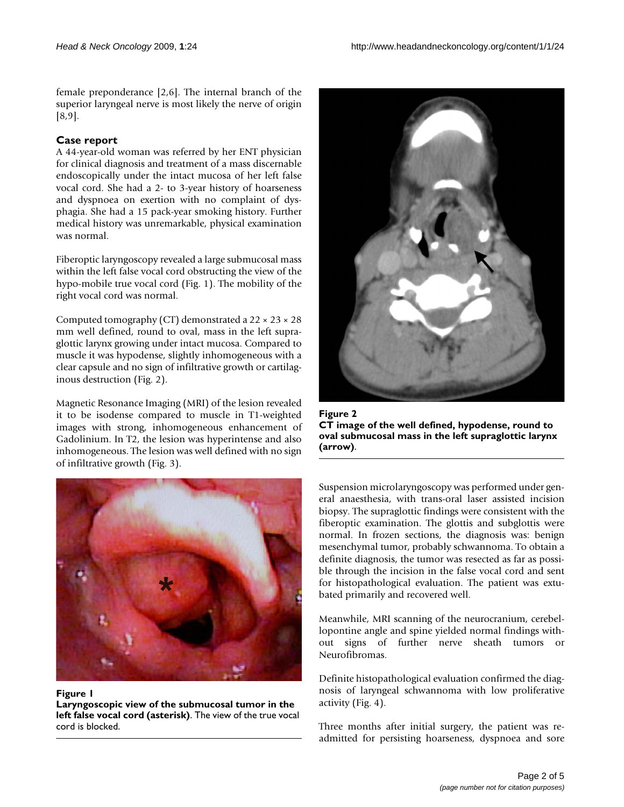female preponderance [[2](#page-4-1),[6](#page-4-6)]. The internal branch of the superior laryngeal nerve is most likely the nerve of origin [[8](#page-4-7)[,9\]](#page-4-8).

# **Case report**

A 44-year-old woman was referred by her ENT physician for clinical diagnosis and treatment of a mass discernable endoscopically under the intact mucosa of her left false vocal cord. She had a 2- to 3-year history of hoarseness and dyspnoea on exertion with no complaint of dysphagia. She had a 15 pack-year smoking history. Further medical history was unremarkable, physical examination was normal.

Fiberoptic laryngoscopy revealed a large submucosal mass within the left false vocal cord obstructing the view of the hypo-mobile true vocal cord (Fig. [1](#page-1-0)). The mobility of the right vocal cord was normal.

Computed tomography (CT) demonstrated a  $22 \times 23 \times 28$ mm well defined, round to oval, mass in the left supraglottic larynx growing under intact mucosa. Compared to muscle it was hypodense, slightly inhomogeneous with a clear capsule and no sign of infiltrative growth or cartilaginous destruction (Fig. [2](#page-1-1)).

Magnetic Resonance Imaging (MRI) of the lesion revealed it to be isodense compared to muscle in T1-weighted images with strong, inhomogeneous enhancement of Gadolinium. In T2, the lesion was hyperintense and also inhomogeneous. The lesion was well defined with no sign of infiltrative growth (Fig. [3\)](#page-2-0).

<span id="page-1-1"></span>

Figure 2 **CT image of the well defined, hypodense, round to oval submucosal mass in the left supraglottic larynx (arrow)**.

<span id="page-1-0"></span>

Figure 1

**Laryngoscopic view of the submucosal tumor in the left false vocal cord (asterisk)**. The view of the true vocal cord is blocked.

Suspension microlaryngoscopy was performed under general anaesthesia, with trans-oral laser assisted incision biopsy. The supraglottic findings were consistent with the fiberoptic examination. The glottis and subglottis were normal. In frozen sections, the diagnosis was: benign mesenchymal tumor, probably schwannoma. To obtain a definite diagnosis, the tumor was resected as far as possible through the incision in the false vocal cord and sent for histopathological evaluation. The patient was extubated primarily and recovered well.

Meanwhile, MRI scanning of the neurocranium, cerebellopontine angle and spine yielded normal findings without signs of further nerve sheath tumors or Neurofibromas.

Definite histopathological evaluation confirmed the diagnosis of laryngeal schwannoma with low proliferative activity (Fig. [4\)](#page-2-1).

Three months after initial surgery, the patient was readmitted for persisting hoarseness, dyspnoea and sore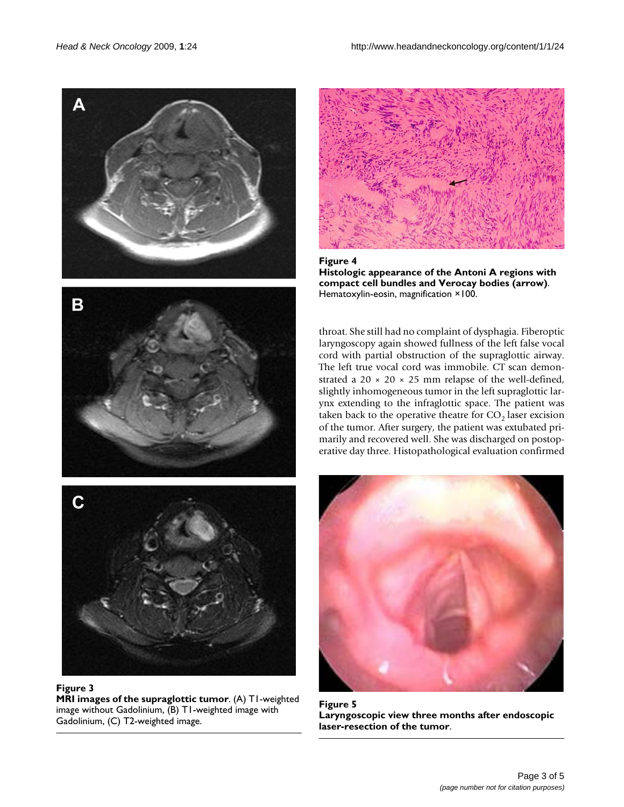<span id="page-2-0"></span>

#### **Figure 3**

**MRI images of the supraglottic tumor**. (A) T1-weighted image without Gadolinium, (B) T1-weighted image with Gadolinium, (C) T2-weighted image.

<span id="page-2-1"></span>

Figure 4 **Histologic appearance of the Antoni A regions with compact cell bundles and Verocay bodies (arrow)**. Hematoxylin-eosin, magnification ×100.

throat. She still had no complaint of dysphagia. Fiberoptic laryngoscopy again showed fullness of the left false vocal cord with partial obstruction of the supraglottic airway. The left true vocal cord was immobile. CT scan demonstrated a 20  $\times$  20  $\times$  25 mm relapse of the well-defined, slightly inhomogeneous tumor in the left supraglottic larynx extending to the infraglottic space. The patient was taken back to the operative theatre for  $CO<sub>2</sub>$  laser excision of the tumor. After surgery, the patient was extubated primarily and recovered well. She was discharged on postoperative day three. Histopathological evaluation confirmed

<span id="page-2-2"></span>

Figure 5 **Laryngoscopic view three months after endoscopic laser-resection of the tumor**.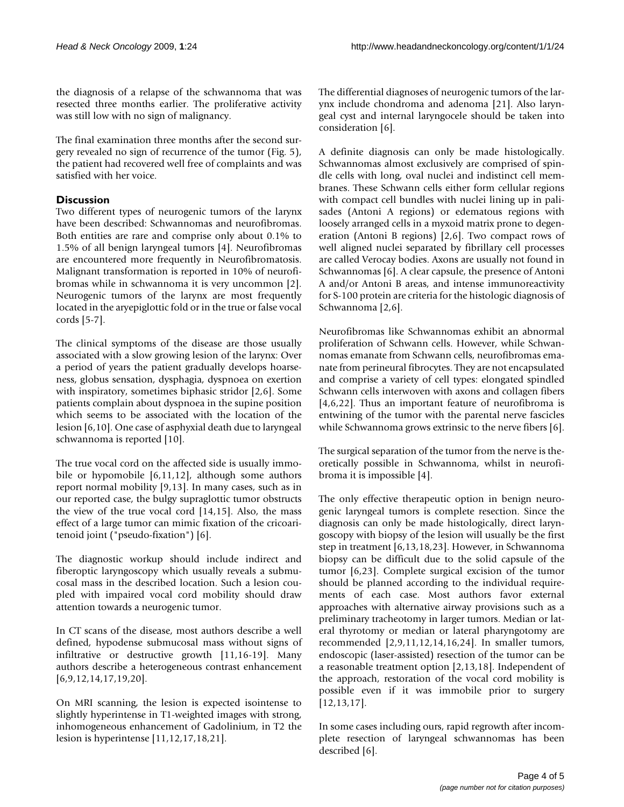the diagnosis of a relapse of the schwannoma that was resected three months earlier. The proliferative activity was still low with no sign of malignancy.

The final examination three months after the second surgery revealed no sign of recurrence of the tumor (Fig. [5\)](#page-2-2), the patient had recovered well free of complaints and was satisfied with her voice.

# **Discussion**

Two different types of neurogenic tumors of the larynx have been described: Schwannomas and neurofibromas. Both entities are rare and comprise only about 0.1% to 1.5% of all benign laryngeal tumors [\[4](#page-4-3)]. Neurofibromas are encountered more frequently in Neurofibromatosis. Malignant transformation is reported in 10% of neurofibromas while in schwannoma it is very uncommon [[2](#page-4-1)]. Neurogenic tumors of the larynx are most frequently located in the aryepiglottic fold or in the true or false vocal cords [[5](#page-4-4)[-7](#page-4-5)].

The clinical symptoms of the disease are those usually associated with a slow growing lesion of the larynx: Over a period of years the patient gradually develops hoarseness, globus sensation, dysphagia, dyspnoea on exertion with inspiratory, sometimes biphasic stridor [\[2](#page-4-1),[6](#page-4-6)]. Some patients complain about dyspnoea in the supine position which seems to be associated with the location of the lesion [[6](#page-4-6),[10\]](#page-4-9). One case of asphyxial death due to laryngeal schwannoma is reported [[10](#page-4-9)].

The true vocal cord on the affected side is usually immobile or hypomobile [\[6](#page-4-6)[,11](#page-4-10),[12](#page-4-11)], although some authors report normal mobility [[9](#page-4-8)[,13](#page-4-12)]. In many cases, such as in our reported case, the bulgy supraglottic tumor obstructs the view of the true vocal cord [[14,](#page-4-13)[15\]](#page-4-14). Also, the mass effect of a large tumor can mimic fixation of the cricoaritenoid joint ("pseudo-fixation") [\[6\]](#page-4-6).

The diagnostic workup should include indirect and fiberoptic laryngoscopy which usually reveals a submucosal mass in the described location. Such a lesion coupled with impaired vocal cord mobility should draw attention towards a neurogenic tumor.

In CT scans of the disease, most authors describe a well defined, hypodense submucosal mass without signs of infiltrative or destructive growth [[11,](#page-4-10)[16](#page-4-15)[-19\]](#page-4-16). Many authors describe a heterogeneous contrast enhancement [[6](#page-4-6)[,9](#page-4-8)[,12](#page-4-11),[14,](#page-4-13)[17](#page-4-17)[,19](#page-4-16),[20\]](#page-4-18).

On MRI scanning, the lesion is expected isointense to slightly hyperintense in T1-weighted images with strong, inhomogeneous enhancement of Gadolinium, in T2 the lesion is hyperintense [\[11](#page-4-10),[12,](#page-4-11)[17](#page-4-17),[18](#page-4-19),[21\]](#page-4-20).

The differential diagnoses of neurogenic tumors of the larynx include chondroma and adenoma [[21\]](#page-4-20). Also laryngeal cyst and internal laryngocele should be taken into consideration [[6](#page-4-6)].

A definite diagnosis can only be made histologically. Schwannomas almost exclusively are comprised of spindle cells with long, oval nuclei and indistinct cell membranes. These Schwann cells either form cellular regions with compact cell bundles with nuclei lining up in palisades (Antoni A regions) or edematous regions with loosely arranged cells in a myxoid matrix prone to degeneration (Antoni B regions) [\[2](#page-4-1),[6](#page-4-6)]. Two compact rows of well aligned nuclei separated by fibrillary cell processes are called Verocay bodies. Axons are usually not found in Schwannomas [[6](#page-4-6)]. A clear capsule, the presence of Antoni A and/or Antoni B areas, and intense immunoreactivity for S-100 protein are criteria for the histologic diagnosis of Schwannoma [\[2,](#page-4-1)[6\]](#page-4-6).

Neurofibromas like Schwannomas exhibit an abnormal proliferation of Schwann cells. However, while Schwannomas emanate from Schwann cells, neurofibromas emanate from perineural fibrocytes. They are not encapsulated and comprise a variety of cell types: elongated spindled Schwann cells interwoven with axons and collagen fibers [[4](#page-4-3)[,6](#page-4-6)[,22](#page-4-21)]. Thus an important feature of neurofibroma is entwining of the tumor with the parental nerve fascicles while Schwannoma grows extrinsic to the nerve fibers [[6](#page-4-6)].

The surgical separation of the tumor from the nerve is theoretically possible in Schwannoma, whilst in neurofibroma it is impossible [\[4\]](#page-4-3).

The only effective therapeutic option in benign neurogenic laryngeal tumors is complete resection. Since the diagnosis can only be made histologically, direct laryngoscopy with biopsy of the lesion will usually be the first step in treatment [[6](#page-4-6),[13](#page-4-12),[18](#page-4-19)[,23](#page-4-22)]. However, in Schwannoma biopsy can be difficult due to the solid capsule of the tumor [\[6,](#page-4-6)[23\]](#page-4-22). Complete surgical excision of the tumor should be planned according to the individual requirements of each case. Most authors favor external approaches with alternative airway provisions such as a preliminary tracheotomy in larger tumors. Median or lateral thyrotomy or median or lateral pharyngotomy are recommended [[2](#page-4-1),[9](#page-4-8),[11,](#page-4-10)[12](#page-4-11),[14](#page-4-13),[16](#page-4-15)[,24](#page-4-23)]. In smaller tumors, endoscopic (laser-assisted) resection of the tumor can be a reasonable treatment option [[2,](#page-4-1)[13](#page-4-12),[18\]](#page-4-19). Independent of the approach, restoration of the vocal cord mobility is possible even if it was immobile prior to surgery [[12](#page-4-11),[13,](#page-4-12)[17](#page-4-17)].

In some cases including ours, rapid regrowth after incomplete resection of laryngeal schwannomas has been described [\[6\]](#page-4-6).